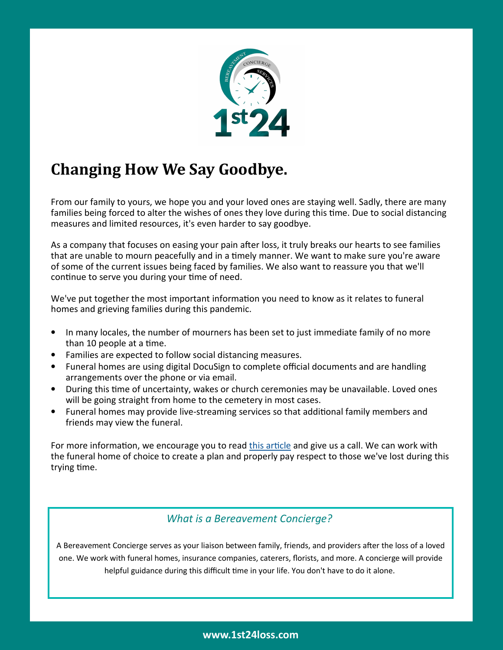

## **Changing How We Say Goodbye.**

From our family to yours, we hope you and your loved ones are staying well. Sadly, there are many families being forced to alter the wishes of ones they love during this time. Due to social distancing measures and limited resources, it's even harder to say goodbye.

As a company that focuses on easing your pain after loss, it truly breaks our hearts to see families that are unable to mourn peacefully and in a timely manner. We want to make sure you're aware of some of the current issues being faced by families. We also want to reassure you that we'll continue to serve you during your time of need.

We've put together the most important information you need to know as it relates to funeral homes and grieving families during this pandemic.

- In many locales, the number of mourners has been set to just immediate family of no more than 10 people at a time.
- Families are expected to follow social distancing measures.
- Funeral homes are using digital DocuSign to complete official documents and are handling arrangements over the phone or via email.
- During this time of uncertainty, wakes or church ceremonies may be unavailable. Loved ones will be going straight from home to the cemetery in most cases.
- Funeral homes may provide live-streaming services so that additional family members and friends may view the funeral.

For more information, we encourage you to read this article and give us a call. We can work with the funeral home of choice to create a plan and properly pay respect to those we've lost during this trying time.

## *What is a Bereavement Concierge?*

A Bereavement Concierge serves as your liaison between family, friends, and providers after the loss of a loved one. We work with funeral homes, insurance companies, caterers, florists, and more. A concierge will provide helpful guidance during this difficult time in your life. You don't have to do it alone.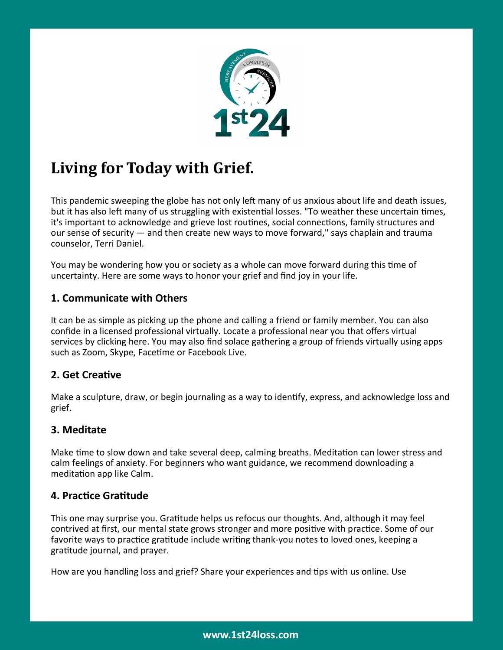

# **Living for Today with Grief.**

This pandemic sweeping the globe has not only left many of us anxious about life and death issues, but it has also left many of us struggling with existential losses. "To weather these uncertain times, it's important to acknowledge and grieve lost routines, social connections, family structures and our sense of security — and then create new ways to move forward," says chaplain and trauma counselor, Terri Daniel.

You may be wondering how you or society as a whole can move forward during this time of uncertainty. Here are some ways to honor your grief and find joy in your life.

## **1. Communicate with Others**

It can be as simple as picking up the phone and calling a friend or family member. You can also confide in a licensed professional virtually. Locate a professional near you that offers virtual services by clicking here. You may also find solace gathering a group of friends virtually using apps such as Zoom, Skype, Facetime or Facebook Live.

## **2. Get Creative**

Make a sculpture, draw, or begin journaling as a way to identify, express, and acknowledge loss and grief.

## **3. Meditate**

Make time to slow down and take several deep, calming breaths. Meditation can lower stress and calm feelings of anxiety. For beginners who want guidance, we recommend downloading a meditation app like Calm.

## **4. Practice Gratitude**

This one may surprise you. Gratitude helps us refocus our thoughts. And, although it may feel contrived at first, our mental state grows stronger and more positive with practice. Some of our favorite ways to practice gratitude include writing thank-you notes to loved ones, keeping a gratitude journal, and prayer.

How are you handling loss and grief? Share your experiences and tips with us online. Use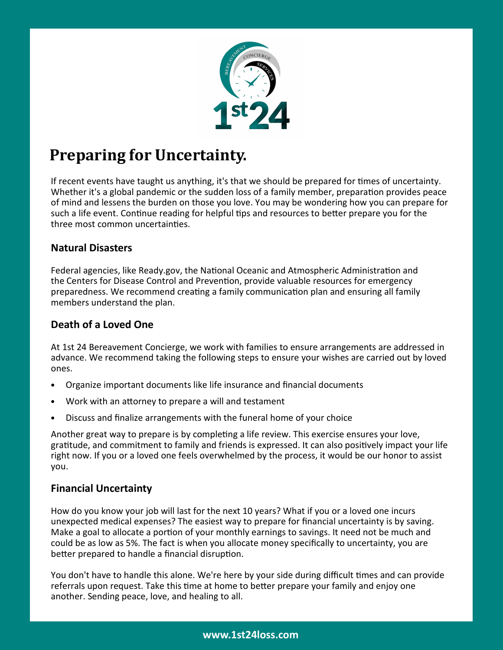

## **Preparing for Uncertainty.**

If recent events have taught us anything, it's that we should be prepared for times of uncertainty. Whether it's a global pandemic or the sudden loss of a family member, preparation provides peace of mind and lessens the burden on those you love. You may be wondering how you can prepare for such a life event. Continue reading for helpful tips and resources to better prepare you for the three most common uncertainties.

### **Natural Disasters**

Federal agencies, like Ready.gov, the National Oceanic and Atmospheric Administration and the Centers for Disease Control and Prevention, provide valuable resources for emergency preparedness. We recommend creating a family communication plan and ensuring all family members understand the plan.

## **Death of a Loved One**

At 1st 24 Bereavement Concierge, we work with families to ensure arrangements are addressed in advance. We recommend taking the following steps to ensure your wishes are carried out by loved ones.

- Organize important documents like life insurance and financial documents
- Work with an attorney to prepare a will and testament
- Discuss and finalize arrangements with the funeral home of your choice

Another great way to prepare is by completing a life review. This exercise ensures your love, gratitude, and commitment to family and friends is expressed. It can also positively impact your life right now. If you or a loved one feels overwhelmed by the process, it would be our honor to assist you.

#### **Financial Uncertainty**

How do you know your job will last for the next 10 years? What if you or a loved one incurs unexpected medical expenses? The easiest way to prepare for financial uncertainty is by saving. Make a goal to allocate a portion of your monthly earnings to savings. It need not be much and could be as low as 5%. The fact is when you allocate money specifically to uncertainty, you are better prepared to handle a financial disruption.

You don't have to handle this alone. We're here by your side during difficult times and can provide referrals upon request. Take this time at home to better prepare your family and enjoy one another. Sending peace, love, and healing to all.